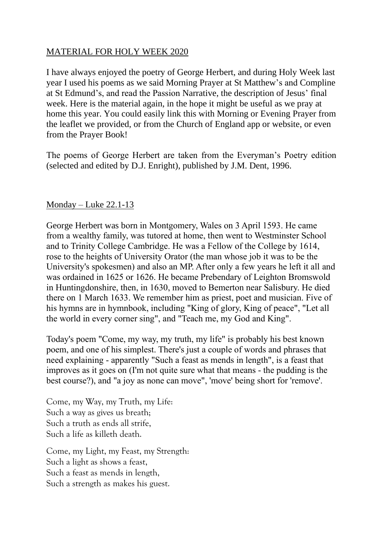## MATERIAL FOR HOLY WEEK 2020

I have always enjoyed the poetry of George Herbert, and during Holy Week last year I used his poems as we said Morning Prayer at St Matthew's and Compline at St Edmund's, and read the Passion Narrative, the description of Jesus' final week. Here is the material again, in the hope it might be useful as we pray at home this year. You could easily link this with Morning or Evening Prayer from the leaflet we provided, or from the Church of England app or website, or even from the Prayer Book!

The poems of George Herbert are taken from the Everyman's Poetry edition (selected and edited by D.J. Enright), published by J.M. Dent, 1996.

## Monday – Luke 22.1-13

George Herbert was born in Montgomery, Wales on 3 April 1593. He came from a wealthy family, was tutored at home, then went to Westminster School and to Trinity College Cambridge. He was a Fellow of the College by 1614, rose to the heights of University Orator (the man whose job it was to be the University's spokesmen) and also an MP. After only a few years he left it all and was ordained in 1625 or 1626. He became Prebendary of Leighton Bromswold in Huntingdonshire, then, in 1630, moved to Bemerton near Salisbury. He died there on 1 March 1633. We remember him as priest, poet and musician. Five of his hymns are in hymnbook, including "King of glory, King of peace", "Let all the world in every corner sing", and "Teach me, my God and King".

Today's poem "Come, my way, my truth, my life" is probably his best known poem, and one of his simplest. There's just a couple of words and phrases that need explaining - apparently "Such a feast as mends in length", is a feast that improves as it goes on (I'm not quite sure what that means - the pudding is the best course?), and "a joy as none can move", 'move' being short for 'remove'.

Come, my Way, my Truth, my Life: Such a way as gives us breath; Such a truth as ends all strife, Such a life as killeth death.

Come, my Light, my Feast, my Strength: Such a light as shows a feast, Such a feast as mends in length, Such a strength as makes his guest.